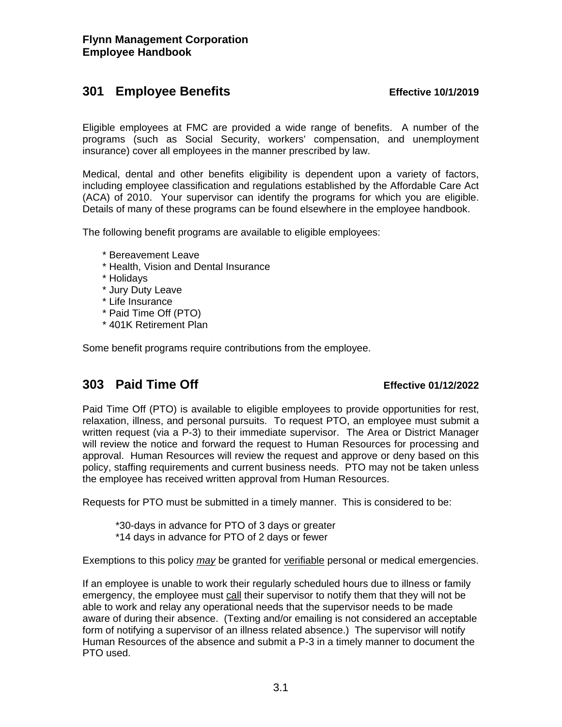# **301 Employee Benefits Effective 10/1/2019**

Eligible employees at FMC are provided a wide range of benefits. A number of the programs (such as Social Security, workers' compensation, and unemployment insurance) cover all employees in the manner prescribed by law.

Medical, dental and other benefits eligibility is dependent upon a variety of factors, including employee classification and regulations established by the Affordable Care Act (ACA) of 2010. Your supervisor can identify the programs for which you are eligible. Details of many of these programs can be found elsewhere in the employee handbook.

The following benefit programs are available to eligible employees:

- \* Bereavement Leave
- \* Health, Vision and Dental Insurance
- \* Holidays
- \* Jury Duty Leave
- \* Life Insurance
- \* Paid Time Off (PTO)
- \* 401K Retirement Plan

Some benefit programs require contributions from the employee.

# **303 Paid Time Off Effective 01/12/2022**

Paid Time Off (PTO) is available to eligible employees to provide opportunities for rest, relaxation, illness, and personal pursuits. To request PTO, an employee must submit a written request (via a P-3) to their immediate supervisor. The Area or District Manager will review the notice and forward the request to Human Resources for processing and approval. Human Resources will review the request and approve or deny based on this policy, staffing requirements and current business needs. PTO may not be taken unless the employee has received written approval from Human Resources.

Requests for PTO must be submitted in a timely manner. This is considered to be:

 \*30-days in advance for PTO of 3 days or greater \*14 days in advance for PTO of 2 days or fewer

Exemptions to this policy *may* be granted for verifiable personal or medical emergencies.

If an employee is unable to work their regularly scheduled hours due to illness or family emergency, the employee must call their supervisor to notify them that they will not be able to work and relay any operational needs that the supervisor needs to be made aware of during their absence. (Texting and/or emailing is not considered an acceptable form of notifying a supervisor of an illness related absence.) The supervisor will notify Human Resources of the absence and submit a P-3 in a timely manner to document the PTO used.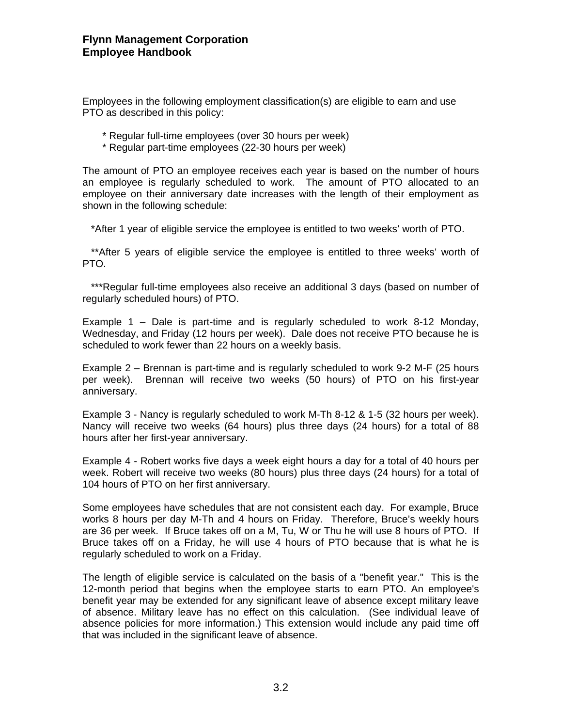Employees in the following employment classification(s) are eligible to earn and use PTO as described in this policy:

- \* Regular full-time employees (over 30 hours per week)
- \* Regular part-time employees (22-30 hours per week)

The amount of PTO an employee receives each year is based on the number of hours an employee is regularly scheduled to work. The amount of PTO allocated to an employee on their anniversary date increases with the length of their employment as shown in the following schedule:

\*After 1 year of eligible service the employee is entitled to two weeks' worth of PTO.

 \*\*After 5 years of eligible service the employee is entitled to three weeks' worth of PTO.

 \*\*\*Regular full-time employees also receive an additional 3 days (based on number of regularly scheduled hours) of PTO.

Example 1 – Dale is part-time and is regularly scheduled to work 8-12 Monday, Wednesday, and Friday (12 hours per week). Dale does not receive PTO because he is scheduled to work fewer than 22 hours on a weekly basis.

Example 2 – Brennan is part-time and is regularly scheduled to work 9-2 M-F (25 hours per week). Brennan will receive two weeks (50 hours) of PTO on his first-year anniversary.

Example 3 - Nancy is regularly scheduled to work M-Th 8-12 & 1-5 (32 hours per week). Nancy will receive two weeks (64 hours) plus three days (24 hours) for a total of 88 hours after her first-year anniversary.

Example 4 - Robert works five days a week eight hours a day for a total of 40 hours per week. Robert will receive two weeks (80 hours) plus three days (24 hours) for a total of 104 hours of PTO on her first anniversary.

Some employees have schedules that are not consistent each day. For example, Bruce works 8 hours per day M-Th and 4 hours on Friday. Therefore, Bruce's weekly hours are 36 per week. If Bruce takes off on a M, Tu, W or Thu he will use 8 hours of PTO. If Bruce takes off on a Friday, he will use 4 hours of PTO because that is what he is regularly scheduled to work on a Friday.

The length of eligible service is calculated on the basis of a "benefit year." This is the 12-month period that begins when the employee starts to earn PTO. An employee's benefit year may be extended for any significant leave of absence except military leave of absence. Military leave has no effect on this calculation. (See individual leave of absence policies for more information.) This extension would include any paid time off that was included in the significant leave of absence.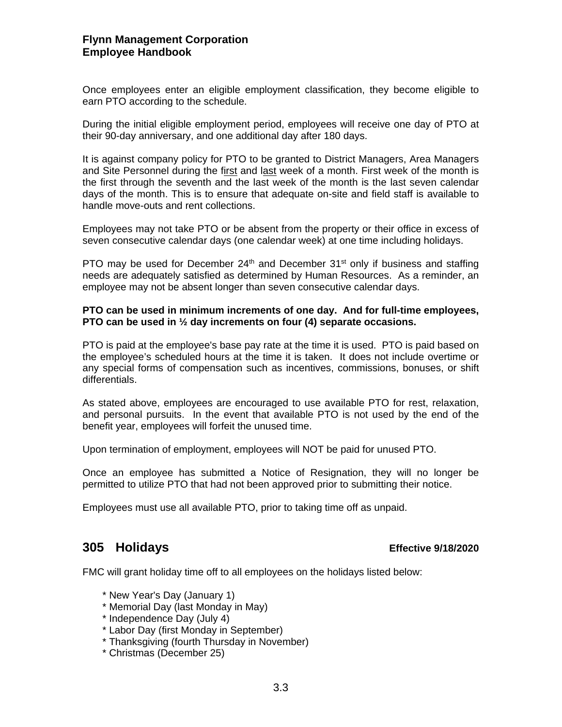### **Flynn Management Corporation Employee Handbook**

Once employees enter an eligible employment classification, they become eligible to earn PTO according to the schedule.

During the initial eligible employment period, employees will receive one day of PTO at their 90-day anniversary, and one additional day after 180 days.

It is against company policy for PTO to be granted to District Managers, Area Managers and Site Personnel during the first and last week of a month. First week of the month is the first through the seventh and the last week of the month is the last seven calendar days of the month. This is to ensure that adequate on-site and field staff is available to handle move-outs and rent collections.

Employees may not take PTO or be absent from the property or their office in excess of seven consecutive calendar days (one calendar week) at one time including holidays.

PTO may be used for December  $24<sup>th</sup>$  and December  $31<sup>st</sup>$  only if business and staffing needs are adequately satisfied as determined by Human Resources. As a reminder, an employee may not be absent longer than seven consecutive calendar days.

### **PTO can be used in minimum increments of one day. And for full-time employees, PTO can be used in ½ day increments on four (4) separate occasions.**

PTO is paid at the employee's base pay rate at the time it is used. PTO is paid based on the employee's scheduled hours at the time it is taken. It does not include overtime or any special forms of compensation such as incentives, commissions, bonuses, or shift differentials.

As stated above, employees are encouraged to use available PTO for rest, relaxation, and personal pursuits. In the event that available PTO is not used by the end of the benefit year, employees will forfeit the unused time.

Upon termination of employment, employees will NOT be paid for unused PTO.

Once an employee has submitted a Notice of Resignation, they will no longer be permitted to utilize PTO that had not been approved prior to submitting their notice.

Employees must use all available PTO, prior to taking time off as unpaid.

## **305 Holidays Effective 9/18/2020**

FMC will grant holiday time off to all employees on the holidays listed below:

- \* New Year's Day (January 1)
- \* Memorial Day (last Monday in May)
- \* Independence Day (July 4)
- \* Labor Day (first Monday in September)
- \* Thanksgiving (fourth Thursday in November)
- \* Christmas (December 25)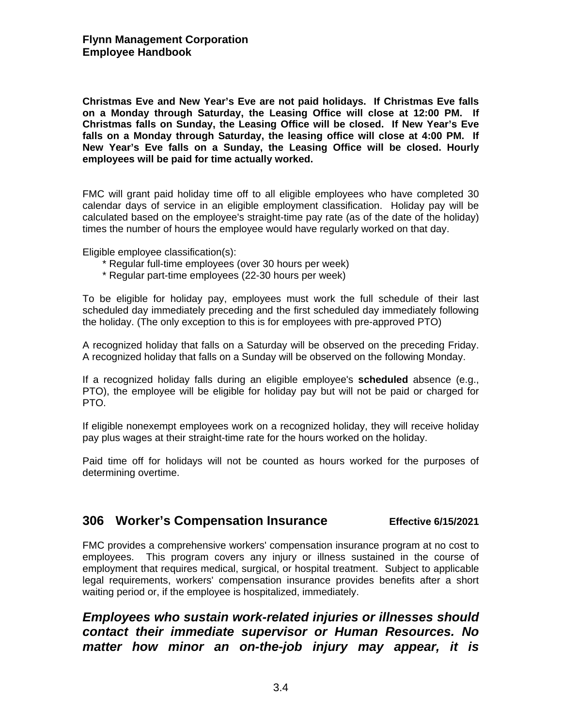**Christmas Eve and New Year's Eve are not paid holidays. If Christmas Eve falls on a Monday through Saturday, the Leasing Office will close at 12:00 PM. If Christmas falls on Sunday, the Leasing Office will be closed. If New Year's Eve falls on a Monday through Saturday, the leasing office will close at 4:00 PM. If New Year's Eve falls on a Sunday, the Leasing Office will be closed. Hourly employees will be paid for time actually worked.** 

FMC will grant paid holiday time off to all eligible employees who have completed 30 calendar days of service in an eligible employment classification. Holiday pay will be calculated based on the employee's straight-time pay rate (as of the date of the holiday) times the number of hours the employee would have regularly worked on that day.

Eligible employee classification(s):

- \* Regular full-time employees (over 30 hours per week)
- \* Regular part-time employees (22-30 hours per week)

To be eligible for holiday pay, employees must work the full schedule of their last scheduled day immediately preceding and the first scheduled day immediately following the holiday. (The only exception to this is for employees with pre-approved PTO)

A recognized holiday that falls on a Saturday will be observed on the preceding Friday. A recognized holiday that falls on a Sunday will be observed on the following Monday.

If a recognized holiday falls during an eligible employee's **scheduled** absence (e.g., PTO), the employee will be eligible for holiday pay but will not be paid or charged for PTO.

If eligible nonexempt employees work on a recognized holiday, they will receive holiday pay plus wages at their straight-time rate for the hours worked on the holiday.

Paid time off for holidays will not be counted as hours worked for the purposes of determining overtime.

## **306 Worker's Compensation Insurance Effective 6/15/2021**

FMC provides a comprehensive workers' compensation insurance program at no cost to employees. This program covers any injury or illness sustained in the course of employment that requires medical, surgical, or hospital treatment. Subject to applicable legal requirements, workers' compensation insurance provides benefits after a short waiting period or, if the employee is hospitalized, immediately.

*Employees who sustain work-related injuries or illnesses should contact their immediate supervisor or Human Resources. No matter how minor an on-the-job injury may appear, it is*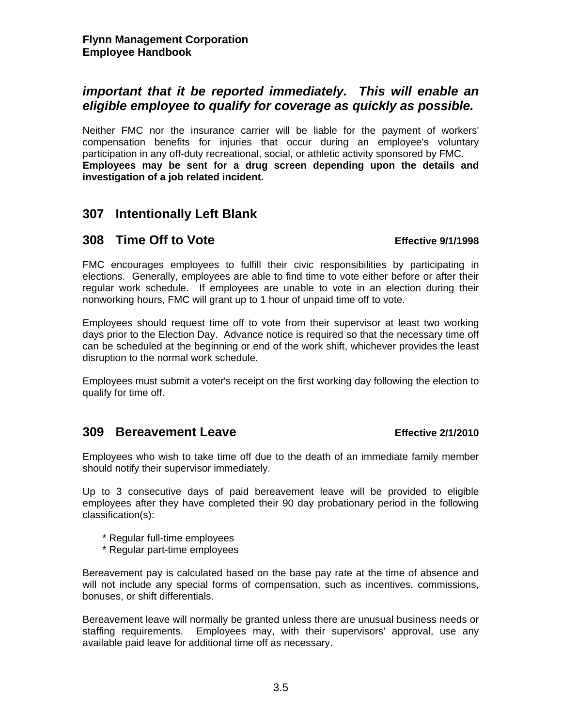## *important that it be reported immediately. This will enable an eligible employee to qualify for coverage as quickly as possible.*

Neither FMC nor the insurance carrier will be liable for the payment of workers' compensation benefits for injuries that occur during an employee's voluntary participation in any off-duty recreational, social, or athletic activity sponsored by FMC. **Employees may be sent for a drug screen depending upon the details and investigation of a job related incident.** 

## **307 Intentionally Left Blank**

## **308 Time Off to Vote Effective 9/1/1998**

FMC encourages employees to fulfill their civic responsibilities by participating in elections. Generally, employees are able to find time to vote either before or after their regular work schedule. If employees are unable to vote in an election during their nonworking hours, FMC will grant up to 1 hour of unpaid time off to vote.

Employees should request time off to vote from their supervisor at least two working days prior to the Election Day. Advance notice is required so that the necessary time off can be scheduled at the beginning or end of the work shift, whichever provides the least disruption to the normal work schedule.

Employees must submit a voter's receipt on the first working day following the election to qualify for time off.

## **309 Bereavement Leave Effective 2/1/2010**

Employees who wish to take time off due to the death of an immediate family member should notify their supervisor immediately.

Up to 3 consecutive days of paid bereavement leave will be provided to eligible employees after they have completed their 90 day probationary period in the following classification(s):

- \* Regular full-time employees
- \* Regular part-time employees

Bereavement pay is calculated based on the base pay rate at the time of absence and will not include any special forms of compensation, such as incentives, commissions, bonuses, or shift differentials.

Bereavement leave will normally be granted unless there are unusual business needs or staffing requirements. Employees may, with their supervisors' approval, use any available paid leave for additional time off as necessary.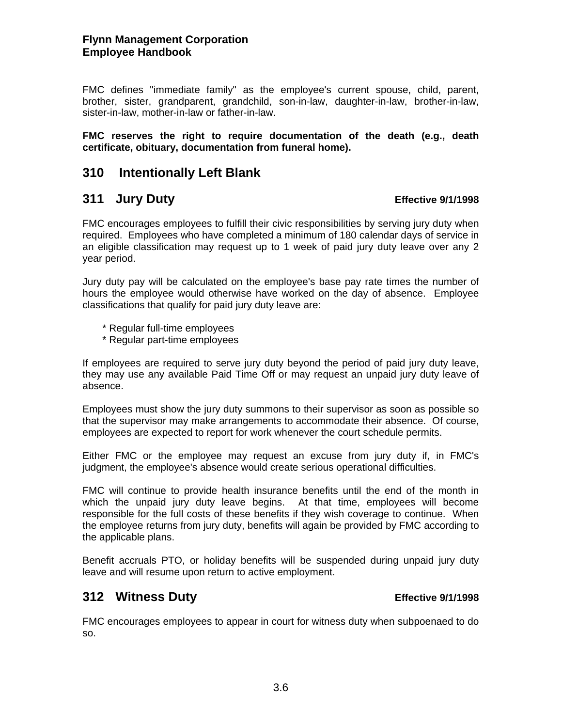### **Flynn Management Corporation Employee Handbook**

FMC defines "immediate family" as the employee's current spouse, child, parent, brother, sister, grandparent, grandchild, son-in-law, daughter-in-law, brother-in-law, sister-in-law, mother-in-law or father-in-law.

### **FMC reserves the right to require documentation of the death (e.g., death certificate, obituary, documentation from funeral home).**

# **310 Intentionally Left Blank**

## **311 Jury Duty Effective 9/1/1998**

FMC encourages employees to fulfill their civic responsibilities by serving jury duty when required. Employees who have completed a minimum of 180 calendar days of service in an eligible classification may request up to 1 week of paid jury duty leave over any 2 year period.

Jury duty pay will be calculated on the employee's base pay rate times the number of hours the employee would otherwise have worked on the day of absence. Employee classifications that qualify for paid jury duty leave are:

- \* Regular full-time employees
- \* Regular part-time employees

If employees are required to serve jury duty beyond the period of paid jury duty leave, they may use any available Paid Time Off or may request an unpaid jury duty leave of absence.

Employees must show the jury duty summons to their supervisor as soon as possible so that the supervisor may make arrangements to accommodate their absence. Of course, employees are expected to report for work whenever the court schedule permits.

Either FMC or the employee may request an excuse from jury duty if, in FMC's judgment, the employee's absence would create serious operational difficulties.

FMC will continue to provide health insurance benefits until the end of the month in which the unpaid jury duty leave begins. At that time, employees will become responsible for the full costs of these benefits if they wish coverage to continue. When the employee returns from jury duty, benefits will again be provided by FMC according to the applicable plans.

Benefit accruals PTO, or holiday benefits will be suspended during unpaid jury duty leave and will resume upon return to active employment.

# **312 Witness Duty Effective 9/1/1998**

FMC encourages employees to appear in court for witness duty when subpoenaed to do so.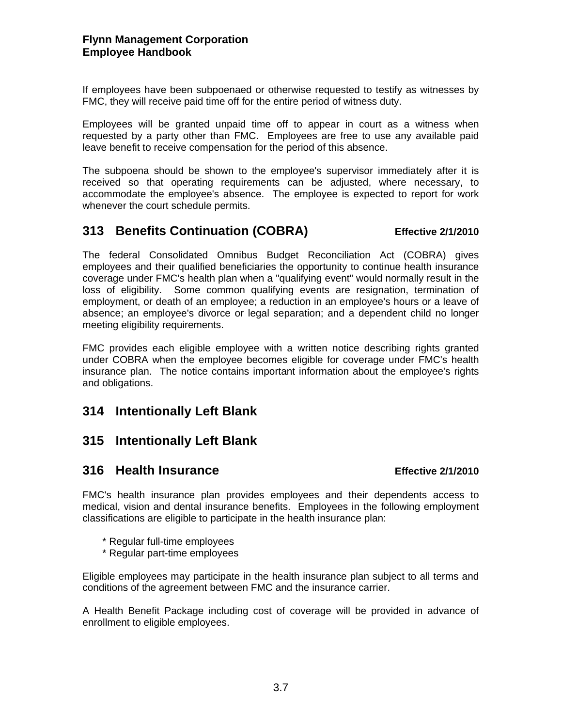If employees have been subpoenaed or otherwise requested to testify as witnesses by FMC, they will receive paid time off for the entire period of witness duty.

Employees will be granted unpaid time off to appear in court as a witness when requested by a party other than FMC. Employees are free to use any available paid leave benefit to receive compensation for the period of this absence.

The subpoena should be shown to the employee's supervisor immediately after it is received so that operating requirements can be adjusted, where necessary, to accommodate the employee's absence. The employee is expected to report for work whenever the court schedule permits.

# **313 Benefits Continuation (COBRA) Effective 2/1/2010**

The federal Consolidated Omnibus Budget Reconciliation Act (COBRA) gives employees and their qualified beneficiaries the opportunity to continue health insurance coverage under FMC's health plan when a "qualifying event" would normally result in the loss of eligibility. Some common qualifying events are resignation, termination of employment, or death of an employee; a reduction in an employee's hours or a leave of absence; an employee's divorce or legal separation; and a dependent child no longer meeting eligibility requirements.

FMC provides each eligible employee with a written notice describing rights granted under COBRA when the employee becomes eligible for coverage under FMC's health insurance plan. The notice contains important information about the employee's rights and obligations.

# **314 Intentionally Left Blank**

# **315 Intentionally Left Blank**

## **316 Health Insurance Effective 2/1/2010**

FMC's health insurance plan provides employees and their dependents access to medical, vision and dental insurance benefits. Employees in the following employment classifications are eligible to participate in the health insurance plan:

- \* Regular full-time employees
- \* Regular part-time employees

Eligible employees may participate in the health insurance plan subject to all terms and conditions of the agreement between FMC and the insurance carrier.

A Health Benefit Package including cost of coverage will be provided in advance of enrollment to eligible employees.